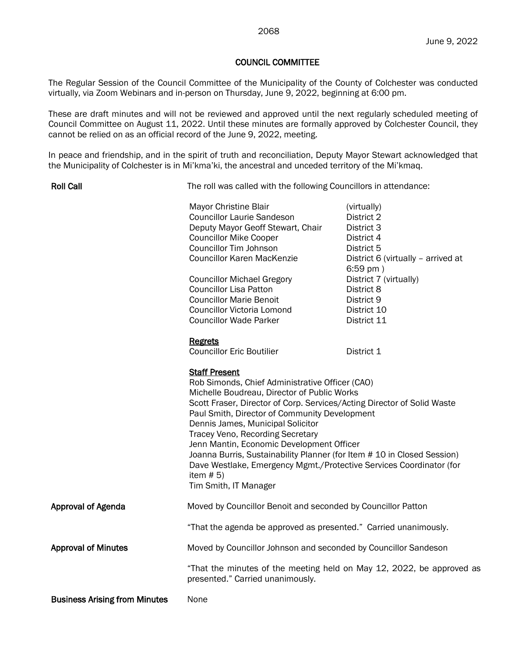## COUNCIL COMMITTEE

The Regular Session of the Council Committee of the Municipality of the County of Colchester was conducted virtually, via Zoom Webinars and in-person on Thursday, June 9, 2022, beginning at 6:00 pm.

These are draft minutes and will not be reviewed and approved until the next regularly scheduled meeting of Council Committee on August 11, 2022. Until these minutes are formally approved by Colchester Council, they cannot be relied on as an official record of the June 9, 2022, meeting.

In peace and friendship, and in the spirit of truth and reconciliation, Deputy Mayor Stewart acknowledged that the Municipality of Colchester is in Mi'kma'ki, the ancestral and unceded territory of the Mi'kmaq.

Roll Call

The roll was called with the following Councillors in attendance:

|                                      | Mayor Christine Blair<br><b>Councillor Laurie Sandeson</b><br>Deputy Mayor Geoff Stewart, Chair<br><b>Councillor Mike Cooper</b><br><b>Councillor Tim Johnson</b><br><b>Councillor Karen MacKenzie</b><br><b>Councillor Michael Gregory</b><br><b>Councillor Lisa Patton</b><br><b>Councillor Marie Benoit</b><br><b>Councillor Victoria Lomond</b><br><b>Councillor Wade Parker</b>                                                                                                                                                                               | (virtually)<br>District 2<br>District 3<br>District 4<br>District 5<br>District 6 (virtually - arrived at<br>$6:59$ pm $)$<br>District 7 (virtually)<br>District 8<br>District 9<br>District 10<br>District 11 |
|--------------------------------------|--------------------------------------------------------------------------------------------------------------------------------------------------------------------------------------------------------------------------------------------------------------------------------------------------------------------------------------------------------------------------------------------------------------------------------------------------------------------------------------------------------------------------------------------------------------------|----------------------------------------------------------------------------------------------------------------------------------------------------------------------------------------------------------------|
|                                      | Regrets<br><b>Councillor Eric Boutilier</b>                                                                                                                                                                                                                                                                                                                                                                                                                                                                                                                        | District 1                                                                                                                                                                                                     |
|                                      | <b>Staff Present</b><br>Rob Simonds, Chief Administrative Officer (CAO)<br>Michelle Boudreau, Director of Public Works<br>Scott Fraser, Director of Corp. Services/Acting Director of Solid Waste<br>Paul Smith, Director of Community Development<br>Dennis James, Municipal Solicitor<br>Tracey Veno, Recording Secretary<br>Jenn Mantin, Economic Development Officer<br>Joanna Burris, Sustainability Planner (for Item # 10 in Closed Session)<br>Dave Westlake, Emergency Mgmt./Protective Services Coordinator (for<br>item $# 5)$<br>Tim Smith, IT Manager |                                                                                                                                                                                                                |
| <b>Approval of Agenda</b>            | Moved by Councillor Benoit and seconded by Councillor Patton                                                                                                                                                                                                                                                                                                                                                                                                                                                                                                       |                                                                                                                                                                                                                |
|                                      | "That the agenda be approved as presented." Carried unanimously.                                                                                                                                                                                                                                                                                                                                                                                                                                                                                                   |                                                                                                                                                                                                                |
| <b>Approval of Minutes</b>           | Moved by Councillor Johnson and seconded by Councillor Sandeson                                                                                                                                                                                                                                                                                                                                                                                                                                                                                                    |                                                                                                                                                                                                                |
|                                      | "That the minutes of the meeting held on May 12, 2022, be approved as<br>presented." Carried unanimously.                                                                                                                                                                                                                                                                                                                                                                                                                                                          |                                                                                                                                                                                                                |
| <b>Business Arising from Minutes</b> | None                                                                                                                                                                                                                                                                                                                                                                                                                                                                                                                                                               |                                                                                                                                                                                                                |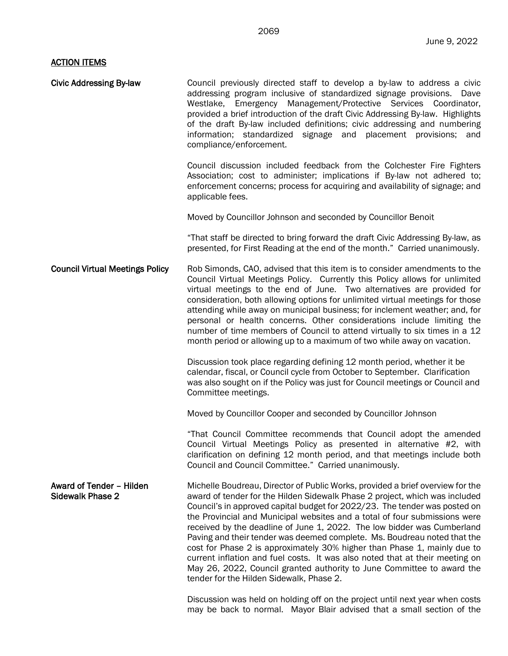## **ACTION ITEMS**

| <b>Civic Addressing By-law</b>                      | Council previously directed staff to develop a by-law to address a civic<br>addressing program inclusive of standardized signage provisions. Dave<br>Westlake, Emergency Management/Protective Services Coordinator,<br>provided a brief introduction of the draft Civic Addressing By-law. Highlights<br>of the draft By-law included definitions; civic addressing and numbering<br>information; standardized signage and placement provisions; and<br>compliance/enforcement.                                                                                                                                                                                                                                                                                   |
|-----------------------------------------------------|--------------------------------------------------------------------------------------------------------------------------------------------------------------------------------------------------------------------------------------------------------------------------------------------------------------------------------------------------------------------------------------------------------------------------------------------------------------------------------------------------------------------------------------------------------------------------------------------------------------------------------------------------------------------------------------------------------------------------------------------------------------------|
|                                                     | Council discussion included feedback from the Colchester Fire Fighters<br>Association; cost to administer; implications if By-law not adhered to;<br>enforcement concerns; process for acquiring and availability of signage; and<br>applicable fees.                                                                                                                                                                                                                                                                                                                                                                                                                                                                                                              |
|                                                     | Moved by Councillor Johnson and seconded by Councillor Benoit                                                                                                                                                                                                                                                                                                                                                                                                                                                                                                                                                                                                                                                                                                      |
|                                                     | "That staff be directed to bring forward the draft Civic Addressing By-law, as<br>presented, for First Reading at the end of the month." Carried unanimously.                                                                                                                                                                                                                                                                                                                                                                                                                                                                                                                                                                                                      |
| <b>Council Virtual Meetings Policy</b>              | Rob Simonds, CAO, advised that this item is to consider amendments to the<br>Council Virtual Meetings Policy. Currently this Policy allows for unlimited<br>virtual meetings to the end of June. Two alternatives are provided for<br>consideration, both allowing options for unlimited virtual meetings for those<br>attending while away on municipal business; for inclement weather; and, for<br>personal or health concerns. Other considerations include limiting the<br>number of time members of Council to attend virtually to six times in a 12<br>month period or allowing up to a maximum of two while away on vacation.                                                                                                                              |
|                                                     | Discussion took place regarding defining 12 month period, whether it be<br>calendar, fiscal, or Council cycle from October to September. Clarification<br>was also sought on if the Policy was just for Council meetings or Council and<br>Committee meetings.                                                                                                                                                                                                                                                                                                                                                                                                                                                                                                     |
|                                                     | Moved by Councillor Cooper and seconded by Councillor Johnson                                                                                                                                                                                                                                                                                                                                                                                                                                                                                                                                                                                                                                                                                                      |
|                                                     | "That Council Committee recommends that Council adopt the amended<br>Council Virtual Meetings Policy as presented in alternative #2, with<br>clarification on defining 12 month period, and that meetings include both<br>Council and Council Committee." Carried unanimously.                                                                                                                                                                                                                                                                                                                                                                                                                                                                                     |
| Award of Tender - Hilden<br><b>Sidewalk Phase 2</b> | Michelle Boudreau, Director of Public Works, provided a brief overview for the<br>award of tender for the Hilden Sidewalk Phase 2 project, which was included<br>Council's in approved capital budget for 2022/23. The tender was posted on<br>the Provincial and Municipal websites and a total of four submissions were<br>received by the deadline of June 1, 2022. The low bidder was Cumberland<br>Paving and their tender was deemed complete. Ms. Boudreau noted that the<br>cost for Phase 2 is approximately 30% higher than Phase 1, mainly due to<br>current inflation and fuel costs. It was also noted that at their meeting on<br>May 26, 2022, Council granted authority to June Committee to award the<br>tender for the Hilden Sidewalk, Phase 2. |
|                                                     | Discussion was held on holding off on the project until next year when costs                                                                                                                                                                                                                                                                                                                                                                                                                                                                                                                                                                                                                                                                                       |

may be back to normal. Mayor Blair advised that a small section of the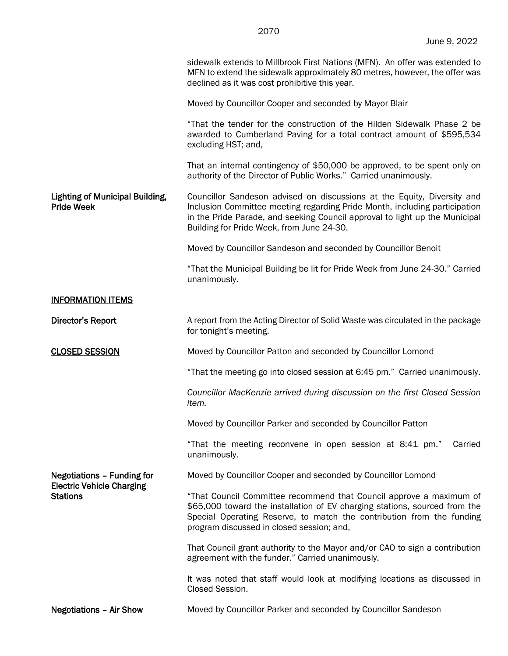sidewalk extends to Millbrook First Nations (MFN). An offer was extended to MFN to extend the sidewalk approximately 80 metres, however, the offer was declined as it was cost prohibitive this year.

Moved by Councillor Cooper and seconded by Mayor Blair

"That the tender for the construction of the Hilden Sidewalk Phase 2 be awarded to Cumberland Paving for a total contract amount of \$595,534 excluding HST; and,

That an internal contingency of \$50,000 be approved, to be spent only on authority of the Director of Public Works." Carried unanimously.

Lighting of Municipal Building, Pride Week Councillor Sandeson advised on discussions at the Equity, Diversity and Inclusion Committee meeting regarding Pride Month, including participation in the Pride Parade, and seeking Council approval to light up the Municipal Building for Pride Week, from June 24-30.

Moved by Councillor Sandeson and seconded by Councillor Benoit

"That the Municipal Building be lit for Pride Week from June 24-30." Carried unanimously.

## INFORMATION ITEMS

Director's Report **A** report from the Acting Director of Solid Waste was circulated in the package for tonight's meeting.

CLOSED SESSION Moved by Councillor Patton and seconded by Councillor Lomond

"That the meeting go into closed session at 6:45 pm." Carried unanimously.

*Councillor MacKenzie arrived during discussion on the first Closed Session item.*

Moved by Councillor Parker and seconded by Councillor Patton

"That the meeting reconvene in open session at 8:41 pm." Carried unanimously.

## Negotiations – Funding for Electric Vehicle Charging **Stations**

Moved by Councillor Cooper and seconded by Councillor Lomond

"That Council Committee recommend that Council approve a maximum of \$65,000 toward the installation of EV charging stations, sourced from the Special Operating Reserve, to match the contribution from the funding program discussed in closed session; and,

That Council grant authority to the Mayor and/or CAO to sign a contribution agreement with the funder." Carried unanimously.

It was noted that staff would look at modifying locations as discussed in Closed Session.

Negotiations – Air Show Moved by Councillor Parker and seconded by Councillor Sandeson